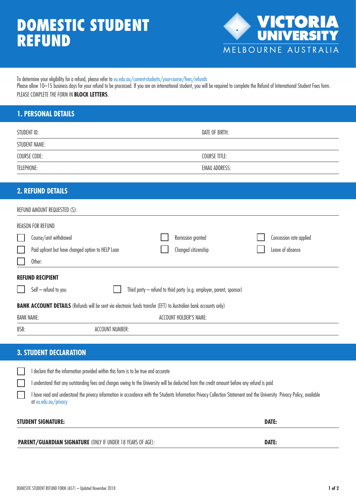# DOMESTIC STUDENT **REFUND**



To determine your eligibility for a refund, please refer to [vu.edu.au/current-students/your-course/fees/refunds](http://www.vu.edu.au/current-students/your-course/fees/refunds)

Please allow 10-15 business days for your refund to be processed. If you are an international student, you will be required to complete the Refund of International Student Fees form. PLEASE COMPLETE THE FORM IN **BLOCK LETTERS**.

# **1. PERSONAL DETAILS**

| STUDENT ID:   | DATE OF BIRTH:        |
|---------------|-----------------------|
| STUDENT NAME: |                       |
| COURSE CODE:  | <b>COURSE TITLE:</b>  |
| TELEPHONE:    | <b>EMAIL ADDRESS:</b> |

## **2. REFUND DETAILS**

|                                                                                                                         | REFUND AMOUNT REQUESTED (\$):                     |                        |  |                                                                      |  |                         |  |  |
|-------------------------------------------------------------------------------------------------------------------------|---------------------------------------------------|------------------------|--|----------------------------------------------------------------------|--|-------------------------|--|--|
|                                                                                                                         | <b>REASON FOR REFUND</b>                          |                        |  |                                                                      |  |                         |  |  |
|                                                                                                                         | Course/unit withdrawal                            |                        |  | Remission granted                                                    |  | Concession rate applied |  |  |
|                                                                                                                         | Paid upfront but have changed option to HELP Loan |                        |  | Changed citizenship                                                  |  | Leave of absence        |  |  |
|                                                                                                                         | Other:                                            |                        |  |                                                                      |  |                         |  |  |
|                                                                                                                         | <b>REFUND RECIPIENT</b>                           |                        |  |                                                                      |  |                         |  |  |
|                                                                                                                         | $Self - refund to you$                            |                        |  | Third party - refund to third party (e.g. employer, parent, sponsor) |  |                         |  |  |
| <b>BANK ACCOUNT DETAILS</b> (Refunds will be sent via electronic funds transfer (EFT) to Australian bank accounts only) |                                                   |                        |  |                                                                      |  |                         |  |  |
| <b>BANK NAME:</b>                                                                                                       |                                                   |                        |  | <b>ACCOUNT HOLDER'S NAME:</b>                                        |  |                         |  |  |
| BSB:                                                                                                                    |                                                   | <b>ACCOUNT NUMBER:</b> |  |                                                                      |  |                         |  |  |

## **3. STUDENT DECLARATION**

|                                           | I declare that the information provided within this form is to be true and accurate                                                                                                              |  |  |
|-------------------------------------------|--------------------------------------------------------------------------------------------------------------------------------------------------------------------------------------------------|--|--|
|                                           | I understand that any outstanding fees and charges owing to the University will be deducted from the credit amount before any refund is paid                                                     |  |  |
|                                           | I have read and understood the privacy information in accordance with the Students Information Privacy Collection Statement and the University Privacy Policy, available<br>at vu.edu.au/privacy |  |  |
| <b>DATE:</b><br><b>STUDENT SIGNATURE:</b> |                                                                                                                                                                                                  |  |  |

**PARENT/GUARDIAN SIGNATURE** (ONLY IF UNDER 18 YEARS OF AGE): **DATE:**